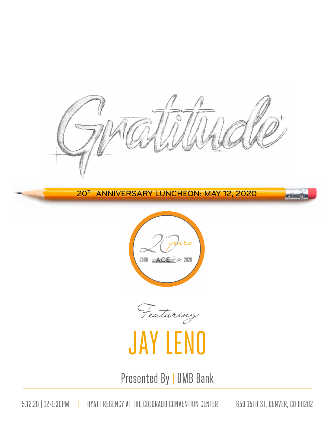20TH ANNIVERSARY LUNCHEON: MAY 12, 2020

 $\blacktriangleright$ 



Featuring

## JAY LENO

Presented By | UMB Bank

5.12.20 | 12-1:30PM | HYATT REGENCY AT THE COLORADO CONVENTION CENTER | 650 15TH ST, DENVER, CO 80202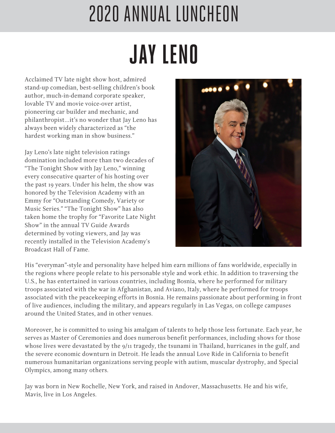# **JAY LENO** 2020 ANNUAL LUNCHEON

Acclaimed TV late night show host, admired stand-up comedian, best-selling children's book author, much-in-demand corporate speaker, lovable TV and movie voice-over artist, pioneering car builder and mechanic, and philanthropist…it's no wonder that Jay Leno has always been widely characterized as "the hardest working man in show business."

Jay Leno's late night television ratings domination included more than two decades of "The Tonight Show with Jay Leno," winning every consecutive quarter of his hosting over the past 19 years. Under his helm, the show was honored by the Television Academy with an Emmy for "Outstanding Comedy, Variety or Music Series." "The Tonight Show" has also taken home the trophy for "Favorite Late Night Show" in the annual TV Guide Awards determined by voting viewers, and Jay was recently installed in the Television Academy's Broadcast Hall of Fame.



His "everyman"-style and personality have helped him earn millions of fans worldwide, especially in the regions where people relate to his personable style and work ethic. In addition to traversing the U.S., he has entertained in various countries, including Bosnia, where he performed for military troops associated with the war in Afghanistan, and Aviano, Italy, where he performed for troops associated with the peacekeeping efforts in Bosnia. He remains passionate about performing in front of live audiences, including the military, and appears regularly in Las Vegas, on college campuses around the United States, and in other venues.

Moreover, he is committed to using his amalgam of talents to help those less fortunate. Each year, he serves as Master of Ceremonies and does numerous benefit performances, including shows for those whose lives were devastated by the 9/11 tragedy, the tsunami in Thailand, hurricanes in the gulf, and the severe economic downturn in Detroit. He leads the annual Love Ride in California to benefit numerous humanitarian organizations serving people with autism, muscular dystrophy, and Special Olympics, among many others.

Jay was born in New Rochelle, New York, and raised in Andover, Massachusetts. He and his wife, Mavis, live in Los Angeles.